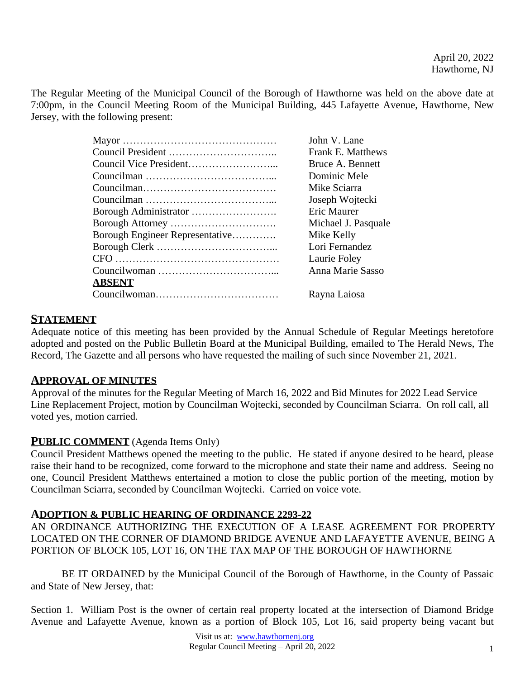The Regular Meeting of the Municipal Council of the Borough of Hawthorne was held on the above date at 7:00pm, in the Council Meeting Room of the Municipal Building, 445 Lafayette Avenue, Hawthorne, New Jersey, with the following present:

|                                 | John V. Lane             |
|---------------------------------|--------------------------|
|                                 | <b>Frank E. Matthews</b> |
|                                 | Bruce A. Bennett         |
|                                 | Dominic Mele             |
|                                 | Mike Sciarra             |
|                                 | Joseph Wojtecki          |
|                                 | Eric Maurer              |
|                                 | Michael J. Pasquale      |
| Borough Engineer Representative | Mike Kelly               |
|                                 | Lori Fernandez           |
|                                 | Laurie Foley             |
|                                 | Anna Marie Sasso         |
| <b>ABSENT</b>                   |                          |
|                                 | Rayna Laiosa             |

# **STATEMENT**

Adequate notice of this meeting has been provided by the Annual Schedule of Regular Meetings heretofore adopted and posted on the Public Bulletin Board at the Municipal Building, emailed to The Herald News, The Record, The Gazette and all persons who have requested the mailing of such since November 21, 2021.

# **APPROVAL OF MINUTES**

Approval of the minutes for the Regular Meeting of March 16, 2022 and Bid Minutes for 2022 Lead Service Line Replacement Project, motion by Councilman Wojtecki, seconded by Councilman Sciarra. On roll call, all voted yes, motion carried.

# **PUBLIC COMMENT** (Agenda Items Only)

Council President Matthews opened the meeting to the public. He stated if anyone desired to be heard, please raise their hand to be recognized, come forward to the microphone and state their name and address. Seeing no one, Council President Matthews entertained a motion to close the public portion of the meeting, motion by Councilman Sciarra, seconded by Councilman Wojtecki. Carried on voice vote.

#### **ADOPTION & PUBLIC HEARING OF ORDINANCE 2293-22**

AN ORDINANCE AUTHORIZING THE EXECUTION OF A LEASE AGREEMENT FOR PROPERTY LOCATED ON THE CORNER OF DIAMOND BRIDGE AVENUE AND LAFAYETTE AVENUE, BEING A PORTION OF BLOCK 105, LOT 16, ON THE TAX MAP OF THE BOROUGH OF HAWTHORNE

BE IT ORDAINED by the Municipal Council of the Borough of Hawthorne, in the County of Passaic and State of New Jersey, that:

Section 1. William Post is the owner of certain real property located at the intersection of Diamond Bridge Avenue and Lafayette Avenue, known as a portion of Block 105, Lot 16, said property being vacant but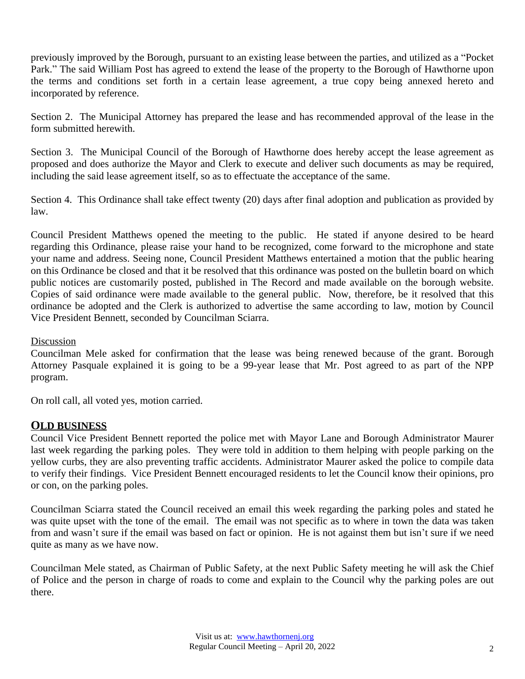previously improved by the Borough, pursuant to an existing lease between the parties, and utilized as a "Pocket Park." The said William Post has agreed to extend the lease of the property to the Borough of Hawthorne upon the terms and conditions set forth in a certain lease agreement, a true copy being annexed hereto and incorporated by reference.

Section 2. The Municipal Attorney has prepared the lease and has recommended approval of the lease in the form submitted herewith.

Section 3. The Municipal Council of the Borough of Hawthorne does hereby accept the lease agreement as proposed and does authorize the Mayor and Clerk to execute and deliver such documents as may be required, including the said lease agreement itself, so as to effectuate the acceptance of the same.

Section 4. This Ordinance shall take effect twenty (20) days after final adoption and publication as provided by law.

Council President Matthews opened the meeting to the public. He stated if anyone desired to be heard regarding this Ordinance, please raise your hand to be recognized, come forward to the microphone and state your name and address. Seeing none, Council President Matthews entertained a motion that the public hearing on this Ordinance be closed and that it be resolved that this ordinance was posted on the bulletin board on which public notices are customarily posted, published in The Record and made available on the borough website. Copies of said ordinance were made available to the general public. Now, therefore, be it resolved that this ordinance be adopted and the Clerk is authorized to advertise the same according to law, motion by Council Vice President Bennett, seconded by Councilman Sciarra.

#### **Discussion**

Councilman Mele asked for confirmation that the lease was being renewed because of the grant. Borough Attorney Pasquale explained it is going to be a 99-year lease that Mr. Post agreed to as part of the NPP program.

On roll call, all voted yes, motion carried.

#### **OLD BUSINESS**

Council Vice President Bennett reported the police met with Mayor Lane and Borough Administrator Maurer last week regarding the parking poles. They were told in addition to them helping with people parking on the yellow curbs, they are also preventing traffic accidents. Administrator Maurer asked the police to compile data to verify their findings. Vice President Bennett encouraged residents to let the Council know their opinions, pro or con, on the parking poles.

Councilman Sciarra stated the Council received an email this week regarding the parking poles and stated he was quite upset with the tone of the email. The email was not specific as to where in town the data was taken from and wasn't sure if the email was based on fact or opinion. He is not against them but isn't sure if we need quite as many as we have now.

Councilman Mele stated, as Chairman of Public Safety, at the next Public Safety meeting he will ask the Chief of Police and the person in charge of roads to come and explain to the Council why the parking poles are out there.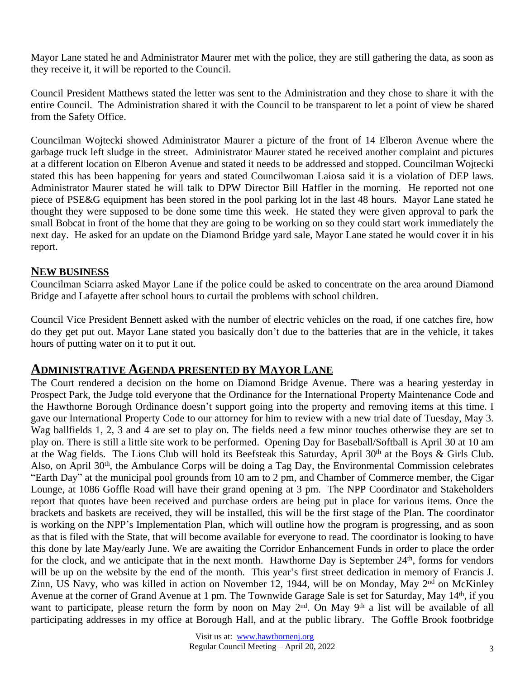Mayor Lane stated he and Administrator Maurer met with the police, they are still gathering the data, as soon as they receive it, it will be reported to the Council.

Council President Matthews stated the letter was sent to the Administration and they chose to share it with the entire Council. The Administration shared it with the Council to be transparent to let a point of view be shared from the Safety Office.

Councilman Wojtecki showed Administrator Maurer a picture of the front of 14 Elberon Avenue where the garbage truck left sludge in the street. Administrator Maurer stated he received another complaint and pictures at a different location on Elberon Avenue and stated it needs to be addressed and stopped. Councilman Wojtecki stated this has been happening for years and stated Councilwoman Laiosa said it is a violation of DEP laws. Administrator Maurer stated he will talk to DPW Director Bill Haffler in the morning. He reported not one piece of PSE&G equipment has been stored in the pool parking lot in the last 48 hours. Mayor Lane stated he thought they were supposed to be done some time this week. He stated they were given approval to park the small Bobcat in front of the home that they are going to be working on so they could start work immediately the next day. He asked for an update on the Diamond Bridge yard sale, Mayor Lane stated he would cover it in his report.

#### **NEW BUSINESS**

Councilman Sciarra asked Mayor Lane if the police could be asked to concentrate on the area around Diamond Bridge and Lafayette after school hours to curtail the problems with school children.

Council Vice President Bennett asked with the number of electric vehicles on the road, if one catches fire, how do they get put out. Mayor Lane stated you basically don't due to the batteries that are in the vehicle, it takes hours of putting water on it to put it out.

# **ADMINISTRATIVE AGENDA PRESENTED BY MAYOR LANE**

The Court rendered a decision on the home on Diamond Bridge Avenue. There was a hearing yesterday in Prospect Park, the Judge told everyone that the Ordinance for the International Property Maintenance Code and the Hawthorne Borough Ordinance doesn't support going into the property and removing items at this time. I gave our International Property Code to our attorney for him to review with a new trial date of Tuesday, May 3. Wag ballfields 1, 2, 3 and 4 are set to play on. The fields need a few minor touches otherwise they are set to play on. There is still a little site work to be performed. Opening Day for Baseball/Softball is April 30 at 10 am at the Wag fields. The Lions Club will hold its Beefsteak this Saturday, April 30th at the Boys & Girls Club. Also, on April 30<sup>th</sup>, the Ambulance Corps will be doing a Tag Day, the Environmental Commission celebrates "Earth Day" at the municipal pool grounds from 10 am to 2 pm, and Chamber of Commerce member, the Cigar Lounge, at 1086 Goffle Road will have their grand opening at 3 pm. The NPP Coordinator and Stakeholders report that quotes have been received and purchase orders are being put in place for various items. Once the brackets and baskets are received, they will be installed, this will be the first stage of the Plan. The coordinator is working on the NPP's Implementation Plan, which will outline how the program is progressing, and as soon as that is filed with the State, that will become available for everyone to read. The coordinator is looking to have this done by late May/early June. We are awaiting the Corridor Enhancement Funds in order to place the order for the clock, and we anticipate that in the next month. Hawthorne Day is September 24<sup>th</sup>, forms for vendors will be up on the website by the end of the month. This year's first street dedication in memory of Francis J. Zinn, US Navy, who was killed in action on November 12, 1944, will be on Monday, May 2<sup>nd</sup> on McKinley Avenue at the corner of Grand Avenue at 1 pm. The Townwide Garage Sale is set for Saturday, May 14<sup>th</sup>, if you want to participate, please return the form by noon on May 2<sup>nd</sup>. On May 9<sup>th</sup> a list will be available of all participating addresses in my office at Borough Hall, and at the public library. The Goffle Brook footbridge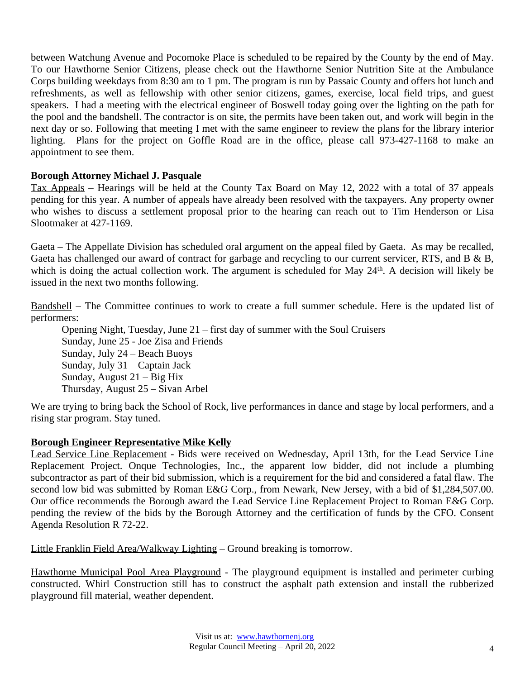between Watchung Avenue and Pocomoke Place is scheduled to be repaired by the County by the end of May. To our Hawthorne Senior Citizens, please check out the Hawthorne Senior Nutrition Site at the Ambulance Corps building weekdays from 8:30 am to 1 pm. The program is run by Passaic County and offers hot lunch and refreshments, as well as fellowship with other senior citizens, games, exercise, local field trips, and guest speakers. I had a meeting with the electrical engineer of Boswell today going over the lighting on the path for the pool and the bandshell. The contractor is on site, the permits have been taken out, and work will begin in the next day or so. Following that meeting I met with the same engineer to review the plans for the library interior lighting. Plans for the project on Goffle Road are in the office, please call 973-427-1168 to make an appointment to see them.

#### **Borough Attorney Michael J. Pasquale**

Tax Appeals – Hearings will be held at the County Tax Board on May 12, 2022 with a total of 37 appeals pending for this year. A number of appeals have already been resolved with the taxpayers. Any property owner who wishes to discuss a settlement proposal prior to the hearing can reach out to Tim Henderson or Lisa Slootmaker at 427-1169.

Gaeta – The Appellate Division has scheduled oral argument on the appeal filed by Gaeta. As may be recalled, Gaeta has challenged our award of contract for garbage and recycling to our current servicer, RTS, and B & B, which is doing the actual collection work. The argument is scheduled for May 24<sup>th</sup>. A decision will likely be issued in the next two months following.

Bandshell – The Committee continues to work to create a full summer schedule. Here is the updated list of performers:

Opening Night, Tuesday, June 21 – first day of summer with the Soul Cruisers Sunday, June 25 - Joe Zisa and Friends Sunday, July 24 – Beach Buoys Sunday, July 31 – Captain Jack Sunday, August 21 – Big Hix Thursday, August 25 – Sivan Arbel

We are trying to bring back the School of Rock, live performances in dance and stage by local performers, and a rising star program. Stay tuned.

#### **Borough Engineer Representative Mike Kelly**

Lead Service Line Replacement - Bids were received on Wednesday, April 13th, for the Lead Service Line Replacement Project. Onque Technologies, Inc., the apparent low bidder, did not include a plumbing subcontractor as part of their bid submission, which is a requirement for the bid and considered a fatal flaw. The second low bid was submitted by Roman E&G Corp., from Newark, New Jersey, with a bid of \$1,284,507.00. Our office recommends the Borough award the Lead Service Line Replacement Project to Roman E&G Corp. pending the review of the bids by the Borough Attorney and the certification of funds by the CFO. Consent Agenda Resolution R 72-22.

Little Franklin Field Area/Walkway Lighting – Ground breaking is tomorrow.

Hawthorne Municipal Pool Area Playground - The playground equipment is installed and perimeter curbing constructed. Whirl Construction still has to construct the asphalt path extension and install the rubberized playground fill material, weather dependent.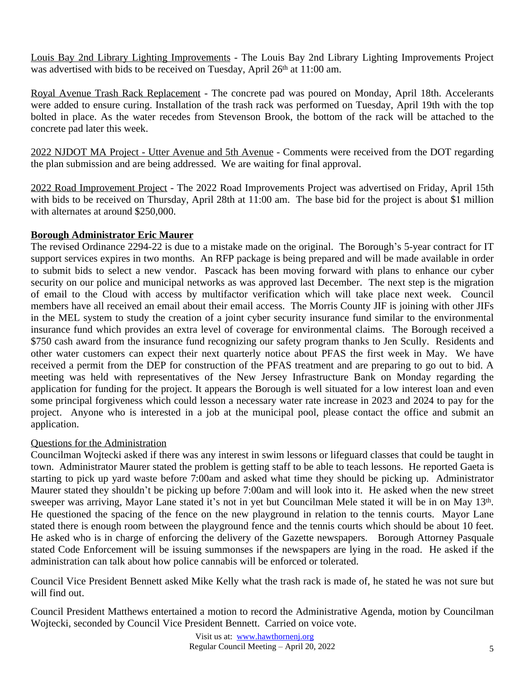Louis Bay 2nd Library Lighting Improvements - The Louis Bay 2nd Library Lighting Improvements Project was advertised with bids to be received on Tuesday, April 26<sup>th</sup> at 11:00 am.

Royal Avenue Trash Rack Replacement - The concrete pad was poured on Monday, April 18th. Accelerants were added to ensure curing. Installation of the trash rack was performed on Tuesday, April 19th with the top bolted in place. As the water recedes from Stevenson Brook, the bottom of the rack will be attached to the concrete pad later this week.

2022 NJDOT MA Project - Utter Avenue and 5th Avenue - Comments were received from the DOT regarding the plan submission and are being addressed. We are waiting for final approval.

2022 Road Improvement Project - The 2022 Road Improvements Project was advertised on Friday, April 15th with bids to be received on Thursday, April 28th at 11:00 am. The base bid for the project is about \$1 million with alternates at around \$250,000.

# **Borough Administrator Eric Maurer**

The revised Ordinance 2294-22 is due to a mistake made on the original. The Borough's 5-year contract for IT support services expires in two months. An RFP package is being prepared and will be made available in order to submit bids to select a new vendor. Pascack has been moving forward with plans to enhance our cyber security on our police and municipal networks as was approved last December. The next step is the migration of email to the Cloud with access by multifactor verification which will take place next week. Council members have all received an email about their email access. The Morris County JIF is joining with other JIFs in the MEL system to study the creation of a joint cyber security insurance fund similar to the environmental insurance fund which provides an extra level of coverage for environmental claims. The Borough received a \$750 cash award from the insurance fund recognizing our safety program thanks to Jen Scully. Residents and other water customers can expect their next quarterly notice about PFAS the first week in May. We have received a permit from the DEP for construction of the PFAS treatment and are preparing to go out to bid. A meeting was held with representatives of the New Jersey Infrastructure Bank on Monday regarding the application for funding for the project. It appears the Borough is well situated for a low interest loan and even some principal forgiveness which could lesson a necessary water rate increase in 2023 and 2024 to pay for the project. Anyone who is interested in a job at the municipal pool, please contact the office and submit an application.

#### Questions for the Administration

Councilman Wojtecki asked if there was any interest in swim lessons or lifeguard classes that could be taught in town. Administrator Maurer stated the problem is getting staff to be able to teach lessons. He reported Gaeta is starting to pick up yard waste before 7:00am and asked what time they should be picking up. Administrator Maurer stated they shouldn't be picking up before 7:00am and will look into it. He asked when the new street sweeper was arriving, Mayor Lane stated it's not in yet but Councilman Mele stated it will be in on May 13<sup>th</sup>. He questioned the spacing of the fence on the new playground in relation to the tennis courts. Mayor Lane stated there is enough room between the playground fence and the tennis courts which should be about 10 feet. He asked who is in charge of enforcing the delivery of the Gazette newspapers. Borough Attorney Pasquale stated Code Enforcement will be issuing summonses if the newspapers are lying in the road. He asked if the administration can talk about how police cannabis will be enforced or tolerated.

Council Vice President Bennett asked Mike Kelly what the trash rack is made of, he stated he was not sure but will find out.

Council President Matthews entertained a motion to record the Administrative Agenda, motion by Councilman Wojtecki, seconded by Council Vice President Bennett. Carried on voice vote.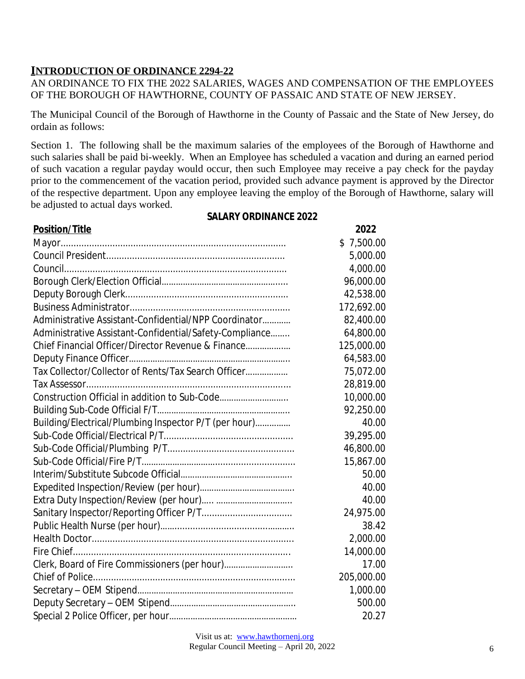# **INTRODUCTION OF ORDINANCE 2294-22**

#### AN ORDINANCE TO FIX THE 2022 SALARIES, WAGES AND COMPENSATION OF THE EMPLOYEES OF THE BOROUGH OF HAWTHORNE, COUNTY OF PASSAIC AND STATE OF NEW JERSEY.

The Municipal Council of the Borough of Hawthorne in the County of Passaic and the State of New Jersey, do ordain as follows:

Section 1. The following shall be the maximum salaries of the employees of the Borough of Hawthorne and such salaries shall be paid bi-weekly. When an Employee has scheduled a vacation and during an earned period of such vacation a regular payday would occur, then such Employee may receive a pay check for the payday prior to the commencement of the vacation period, provided such advance payment is approved by the Director of the respective department. Upon any employee leaving the employ of the Borough of Hawthorne, salary will be adjusted to actual days worked.

#### **SALARY ORDINANCE 2022**

| <b>Position/Title</b>                                   | 2022       |
|---------------------------------------------------------|------------|
|                                                         | \$7,500.00 |
|                                                         | 5,000.00   |
|                                                         | 4,000.00   |
|                                                         | 96,000.00  |
|                                                         | 42,538.00  |
|                                                         | 172,692.00 |
| Administrative Assistant-Confidential/NPP Coordinator   | 82,400.00  |
| Administrative Assistant-Confidential/Safety-Compliance | 64,800.00  |
| Chief Financial Officer/Director Revenue & Finance      | 125,000.00 |
|                                                         | 64,583.00  |
| Tax Collector/Collector of Rents/Tax Search Officer     | 75,072.00  |
|                                                         | 28,819.00  |
| Construction Official in addition to Sub-Code           | 10,000.00  |
|                                                         | 92,250.00  |
| Building/Electrical/Plumbing Inspector P/T (per hour)   | 40.00      |
|                                                         | 39,295.00  |
|                                                         | 46,800.00  |
|                                                         | 15,867.00  |
|                                                         | 50.00      |
|                                                         | 40.00      |
|                                                         | 40.00      |
|                                                         | 24,975.00  |
|                                                         | 38.42      |
|                                                         | 2,000.00   |
|                                                         | 14,000.00  |
| Clerk, Board of Fire Commissioners (per hour)           | 17.00      |
|                                                         | 205,000.00 |
|                                                         | 1,000.00   |
|                                                         | 500.00     |
|                                                         | 20.27      |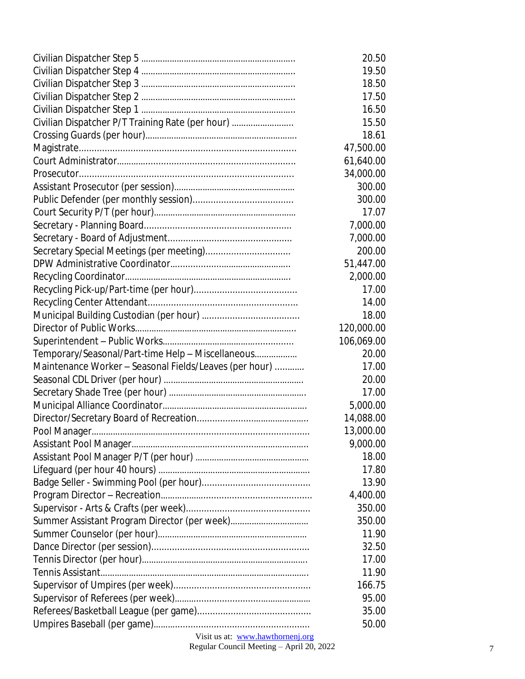|                                                        | 20.50      |
|--------------------------------------------------------|------------|
|                                                        | 19.50      |
|                                                        | 18.50      |
|                                                        | 17.50      |
|                                                        | 16.50      |
| Civilian Dispatcher P/T Training Rate (per hour)       | 15.50      |
|                                                        | 18.61      |
|                                                        | 47,500.00  |
|                                                        | 61,640.00  |
|                                                        | 34,000.00  |
|                                                        | 300.00     |
|                                                        | 300.00     |
|                                                        | 17.07      |
|                                                        | 7,000.00   |
|                                                        | 7,000.00   |
| Secretary Special Meetings (per meeting)               | 200.00     |
|                                                        | 51,447.00  |
|                                                        | 2,000.00   |
|                                                        | 17.00      |
|                                                        | 14.00      |
|                                                        | 18.00      |
|                                                        | 120,000.00 |
|                                                        | 106,069.00 |
| Temporary/Seasonal/Part-time Help - Miscellaneous      | 20.00      |
| Maintenance Worker - Seasonal Fields/Leaves (per hour) | 17.00      |
|                                                        | 20.00      |
|                                                        | 17.00      |
|                                                        | 5,000.00   |
|                                                        | 14,088.00  |
|                                                        | 13,000.00  |
|                                                        | 9,000.00   |
|                                                        | 18.00      |
|                                                        | 17.80      |
|                                                        | 13.90      |
|                                                        | 4,400.00   |
|                                                        | 350.00     |
|                                                        | 350.00     |
|                                                        | 11.90      |
|                                                        | 32.50      |
|                                                        | 17.00      |
|                                                        | 11.90      |
|                                                        | 166.75     |
|                                                        | 95.00      |
|                                                        | 35.00      |
|                                                        | 50.00      |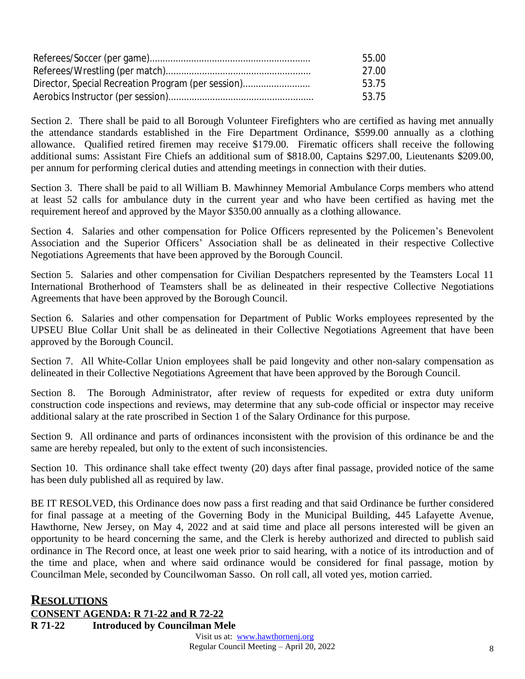|                                                    | 55.00 |
|----------------------------------------------------|-------|
|                                                    | 27.00 |
| Director, Special Recreation Program (per session) | 53.75 |
|                                                    | 53.75 |

Section 2. There shall be paid to all Borough Volunteer Firefighters who are certified as having met annually the attendance standards established in the Fire Department Ordinance, \$599.00 annually as a clothing allowance. Qualified retired firemen may receive \$179.00. Firematic officers shall receive the following additional sums: Assistant Fire Chiefs an additional sum of \$818.00, Captains \$297.00, Lieutenants \$209.00, per annum for performing clerical duties and attending meetings in connection with their duties.

Section 3. There shall be paid to all William B. Mawhinney Memorial Ambulance Corps members who attend at least 52 calls for ambulance duty in the current year and who have been certified as having met the requirement hereof and approved by the Mayor \$350.00 annually as a clothing allowance.

Section 4. Salaries and other compensation for Police Officers represented by the Policemen's Benevolent Association and the Superior Officers' Association shall be as delineated in their respective Collective Negotiations Agreements that have been approved by the Borough Council.

Section 5. Salaries and other compensation for Civilian Despatchers represented by the Teamsters Local 11 International Brotherhood of Teamsters shall be as delineated in their respective Collective Negotiations Agreements that have been approved by the Borough Council.

Section 6. Salaries and other compensation for Department of Public Works employees represented by the UPSEU Blue Collar Unit shall be as delineated in their Collective Negotiations Agreement that have been approved by the Borough Council.

Section 7. All White-Collar Union employees shall be paid longevity and other non-salary compensation as delineated in their Collective Negotiations Agreement that have been approved by the Borough Council.

Section 8. The Borough Administrator, after review of requests for expedited or extra duty uniform construction code inspections and reviews, may determine that any sub-code official or inspector may receive additional salary at the rate proscribed in Section 1 of the Salary Ordinance for this purpose.

Section 9. All ordinance and parts of ordinances inconsistent with the provision of this ordinance be and the same are hereby repealed, but only to the extent of such inconsistencies.

Section 10. This ordinance shall take effect twenty (20) days after final passage, provided notice of the same has been duly published all as required by law.

BE IT RESOLVED, this Ordinance does now pass a first reading and that said Ordinance be further considered for final passage at a meeting of the Governing Body in the Municipal Building, 445 Lafayette Avenue, Hawthorne, New Jersey, on May 4, 2022 and at said time and place all persons interested will be given an opportunity to be heard concerning the same, and the Clerk is hereby authorized and directed to publish said ordinance in The Record once, at least one week prior to said hearing, with a notice of its introduction and of the time and place, when and where said ordinance would be considered for final passage, motion by Councilman Mele, seconded by Councilwoman Sasso. On roll call, all voted yes, motion carried.

# **RESOLUTIONS**

**CONSENT AGENDA: R 71-22 and R 72-22 R 71-22 Introduced by Councilman Mele**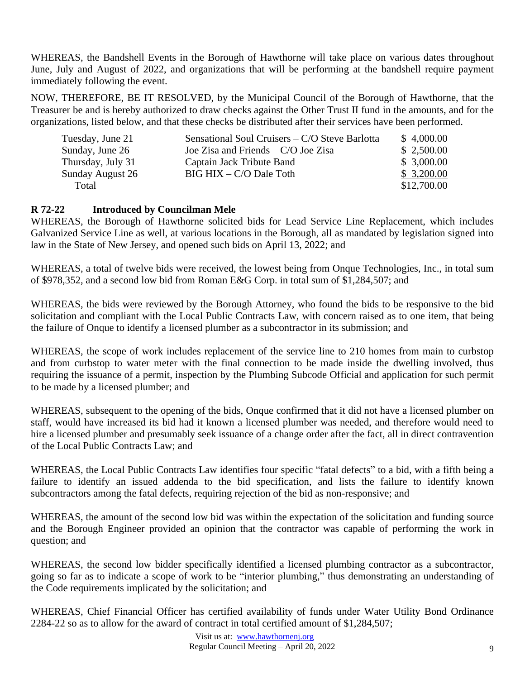WHEREAS, the Bandshell Events in the Borough of Hawthorne will take place on various dates throughout June, July and August of 2022, and organizations that will be performing at the bandshell require payment immediately following the event.

NOW, THEREFORE, BE IT RESOLVED, by the Municipal Council of the Borough of Hawthorne, that the Treasurer be and is hereby authorized to draw checks against the Other Trust II fund in the amounts, and for the organizations, listed below, and that these checks be distributed after their services have been performed.

| Tuesday, June 21  | Sensational Soul Cruisers – C/O Steve Barlotta | \$4,000.00  |
|-------------------|------------------------------------------------|-------------|
| Sunday, June 26   | Joe Zisa and Friends $-C/O$ Joe Zisa           | \$2,500.00  |
| Thursday, July 31 | Captain Jack Tribute Band                      | \$3,000.00  |
| Sunday August 26  | BIG HIX – C/O Dale Toth                        | \$3,200.00  |
| Total             |                                                | \$12,700.00 |

#### **R 72-22 Introduced by Councilman Mele**

WHEREAS, the Borough of Hawthorne solicited bids for Lead Service Line Replacement, which includes Galvanized Service Line as well, at various locations in the Borough, all as mandated by legislation signed into law in the State of New Jersey, and opened such bids on April 13, 2022; and

WHEREAS, a total of twelve bids were received, the lowest being from Onque Technologies, Inc., in total sum of \$978,352, and a second low bid from Roman E&G Corp. in total sum of \$1,284,507; and

WHEREAS, the bids were reviewed by the Borough Attorney, who found the bids to be responsive to the bid solicitation and compliant with the Local Public Contracts Law, with concern raised as to one item, that being the failure of Onque to identify a licensed plumber as a subcontractor in its submission; and

WHEREAS, the scope of work includes replacement of the service line to 210 homes from main to curbstop and from curbstop to water meter with the final connection to be made inside the dwelling involved, thus requiring the issuance of a permit, inspection by the Plumbing Subcode Official and application for such permit to be made by a licensed plumber; and

WHEREAS, subsequent to the opening of the bids, Onque confirmed that it did not have a licensed plumber on staff, would have increased its bid had it known a licensed plumber was needed, and therefore would need to hire a licensed plumber and presumably seek issuance of a change order after the fact, all in direct contravention of the Local Public Contracts Law; and

WHEREAS, the Local Public Contracts Law identifies four specific "fatal defects" to a bid, with a fifth being a failure to identify an issued addenda to the bid specification, and lists the failure to identify known subcontractors among the fatal defects, requiring rejection of the bid as non-responsive; and

WHEREAS, the amount of the second low bid was within the expectation of the solicitation and funding source and the Borough Engineer provided an opinion that the contractor was capable of performing the work in question; and

WHEREAS, the second low bidder specifically identified a licensed plumbing contractor as a subcontractor, going so far as to indicate a scope of work to be "interior plumbing," thus demonstrating an understanding of the Code requirements implicated by the solicitation; and

WHEREAS, Chief Financial Officer has certified availability of funds under Water Utility Bond Ordinance 2284-22 so as to allow for the award of contract in total certified amount of \$1,284,507;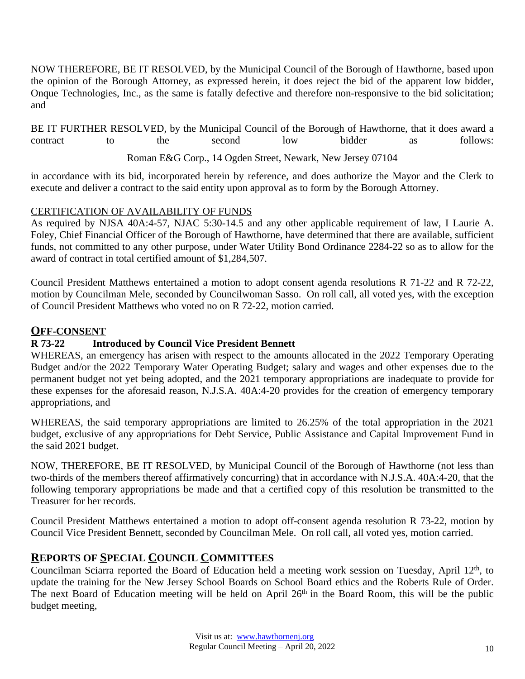NOW THEREFORE, BE IT RESOLVED, by the Municipal Council of the Borough of Hawthorne, based upon the opinion of the Borough Attorney, as expressed herein, it does reject the bid of the apparent low bidder, Onque Technologies, Inc., as the same is fatally defective and therefore non-responsive to the bid solicitation; and

BE IT FURTHER RESOLVED, by the Municipal Council of the Borough of Hawthorne, that it does award a contract to the second low bidder as follows: Roman E&G Corp., 14 Ogden Street, Newark, New Jersey 07104

in accordance with its bid, incorporated herein by reference, and does authorize the Mayor and the Clerk to execute and deliver a contract to the said entity upon approval as to form by the Borough Attorney.

# CERTIFICATION OF AVAILABILITY OF FUNDS

As required by NJSA 40A:4-57, NJAC 5:30-14.5 and any other applicable requirement of law, I Laurie A. Foley, Chief Financial Officer of the Borough of Hawthorne, have determined that there are available, sufficient funds, not committed to any other purpose, under Water Utility Bond Ordinance 2284-22 so as to allow for the award of contract in total certified amount of \$1,284,507.

Council President Matthews entertained a motion to adopt consent agenda resolutions R 71-22 and R 72-22, motion by Councilman Mele, seconded by Councilwoman Sasso. On roll call, all voted yes, with the exception of Council President Matthews who voted no on R 72-22, motion carried.

# **OFF-CONSENT**

# **R 73-22 Introduced by Council Vice President Bennett**

WHEREAS, an emergency has arisen with respect to the amounts allocated in the 2022 Temporary Operating Budget and/or the 2022 Temporary Water Operating Budget; salary and wages and other expenses due to the permanent budget not yet being adopted, and the 2021 temporary appropriations are inadequate to provide for these expenses for the aforesaid reason, N.J.S.A. 40A:4-20 provides for the creation of emergency temporary appropriations, and

WHEREAS, the said temporary appropriations are limited to 26.25% of the total appropriation in the 2021 budget, exclusive of any appropriations for Debt Service, Public Assistance and Capital Improvement Fund in the said 2021 budget.

NOW, THEREFORE, BE IT RESOLVED, by Municipal Council of the Borough of Hawthorne (not less than two-thirds of the members thereof affirmatively concurring) that in accordance with N.J.S.A. 40A:4-20, that the following temporary appropriations be made and that a certified copy of this resolution be transmitted to the Treasurer for her records.

Council President Matthews entertained a motion to adopt off-consent agenda resolution R 73-22, motion by Council Vice President Bennett, seconded by Councilman Mele. On roll call, all voted yes, motion carried.

# **REPORTS OF SPECIAL COUNCIL COMMITTEES**

Councilman Sciarra reported the Board of Education held a meeting work session on Tuesday, April 12<sup>th</sup>, to update the training for the New Jersey School Boards on School Board ethics and the Roberts Rule of Order. The next Board of Education meeting will be held on April 26<sup>th</sup> in the Board Room, this will be the public budget meeting,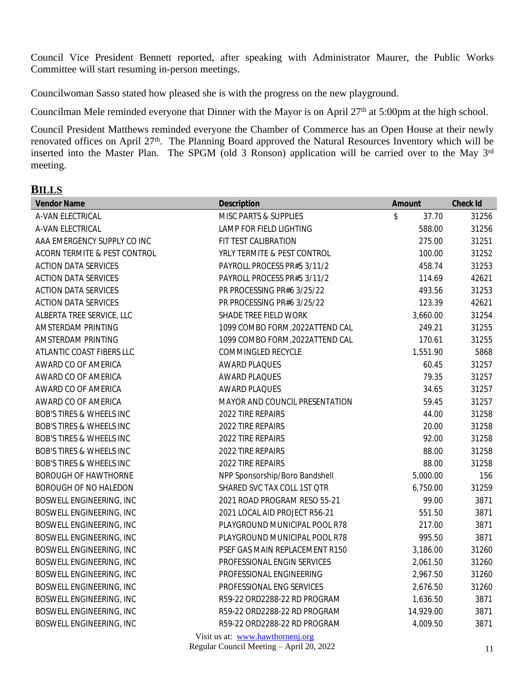Council Vice President Bennett reported, after speaking with Administrator Maurer, the Public Works Committee will start resuming in-person meetings.

Councilwoman Sasso stated how pleased she is with the progress on the new playground.

Councilman Mele reminded everyone that Dinner with the Mayor is on April 27<sup>th</sup> at 5:00pm at the high school.

Council President Matthews reminded everyone the Chamber of Commerce has an Open House at their newly renovated offices on April 27<sup>th</sup>. The Planning Board approved the Natural Resources Inventory which will be inserted into the Master Plan. The SPGM (old 3 Ronson) application will be carried over to the May 3<sup>rd</sup> meeting.

#### **BILLS**

| <b>Vendor Name</b>                  | <b>Description</b>              | <b>Amount</b> | <b>Check Id</b> |
|-------------------------------------|---------------------------------|---------------|-----------------|
| A-VAN ELECTRICAL                    | MISC PARTS & SUPPLIES           | \$<br>37.70   | 31256           |
| A-VAN ELECTRICAL                    | LAMP FOR FIELD LIGHTING         | 588.00        | 31256           |
| AAA EMERGENCY SUPPLY CO INC         | FIT TEST CALIBRATION            | 275.00        | 31251           |
| ACORN TERMITE & PEST CONTROL        | YRLY TERMITE & PEST CONTROL     | 100.00        | 31252           |
| <b>ACTION DATA SERVICES</b>         | PAYROLL PROCESS PR#5 3/11/2     | 458.74        | 31253           |
| <b>ACTION DATA SERVICES</b>         | PAYROLL PROCESS PR#5 3/11/2     | 114.69        | 42621           |
| <b>ACTION DATA SERVICES</b>         | PR PROCESSING PR#6 3/25/22      | 493.56        | 31253           |
| <b>ACTION DATA SERVICES</b>         | PR PROCESSING PR#6 3/25/22      | 123.39        | 42621           |
| ALBERTA TREE SERVICE, LLC           | SHADE TREE FIELD WORK           | 3,660.00      | 31254           |
| AMSTERDAM PRINTING                  | 1099 COMBO FORM, 2022ATTEND CAL | 249.21        | 31255           |
| AMSTERDAM PRINTING                  | 1099 COMBO FORM, 2022ATTEND CAL | 170.61        | 31255           |
| ATLANTIC COAST FIBERS LLC           | COMMINGLED RECYCLE              | 1,551.90      | 5868            |
| AWARD CO OF AMERICA                 | <b>AWARD PLAQUES</b>            | 60.45         | 31257           |
| AWARD CO OF AMERICA                 | <b>AWARD PLAQUES</b>            | 79.35         | 31257           |
| AWARD CO OF AMERICA                 | <b>AWARD PLAQUES</b>            | 34.65         | 31257           |
| AWARD CO OF AMERICA                 | MAYOR AND COUNCIL PRESENTATION  | 59.45         | 31257           |
| <b>BOB'S TIRES &amp; WHEELS INC</b> | 2022 TIRE REPAIRS               | 44.00         | 31258           |
| <b>BOB'S TIRES &amp; WHEELS INC</b> | 2022 TIRE REPAIRS               | 20.00         | 31258           |
| <b>BOB'S TIRES &amp; WHEELS INC</b> | 2022 TIRE REPAIRS               | 92.00         | 31258           |
| <b>BOB'S TIRES &amp; WHEELS INC</b> | 2022 TIRE REPAIRS               | 88.00         | 31258           |
| <b>BOB'S TIRES &amp; WHEELS INC</b> | 2022 TIRE REPAIRS               | 88.00         | 31258           |
| BOROUGH OF HAWTHORNE                | NPP Sponsorship/Boro Bandshell  | 5,000.00      | 156             |
| BOROUGH OF NO HALEDON               | SHARED SVC TAX COLL 1ST QTR     | 6,750.00      | 31259           |
| <b>BOSWELL ENGINEERING, INC</b>     | 2021 ROAD PROGRAM RESO 55-21    | 99.00         | 3871            |
| BOSWELL ENGINEERING, INC            | 2021 LOCAL AID PROJECT R56-21   | 551.50        | 3871            |
| BOSWELL ENGINEERING, INC            | PLAYGROUND MUNICIPAL POOL R78   | 217.00        | 3871            |
| BOSWELL ENGINEERING, INC            | PLAYGROUND MUNICIPAL POOL R78   | 995.50        | 3871            |
| BOSWELL ENGINEERING, INC            | PSEF GAS MAIN REPLACEMENT R150  | 3,186.00      | 31260           |
| BOSWELL ENGINEERING, INC            | PROFESSIONAL ENGIN SERVICES     | 2,061.50      | 31260           |
| BOSWELL ENGINEERING, INC            | PROFESSIONAL ENGINEERING        | 2,967.50      | 31260           |
| BOSWELL ENGINEERING, INC            | PROFESSIONAL ENG SERVICES       | 2,676.50      | 31260           |
| BOSWELL ENGINEERING, INC            | R59-22 ORD2288-22 RD PROGRAM    | 1,636.50      | 3871            |
| BOSWELL ENGINEERING, INC            | R59-22 ORD2288-22 RD PROGRAM    | 14,929.00     | 3871            |
| <b>BOSWELL ENGINEERING, INC</b>     | R59-22 ORD2288-22 RD PROGRAM    | 4,009.50      | 3871            |
|                                     |                                 |               |                 |

Visit us at: [www.hawthornenj.org](http://www.hawthornenj.org) Regular Council Meeting – April 20, 2022 11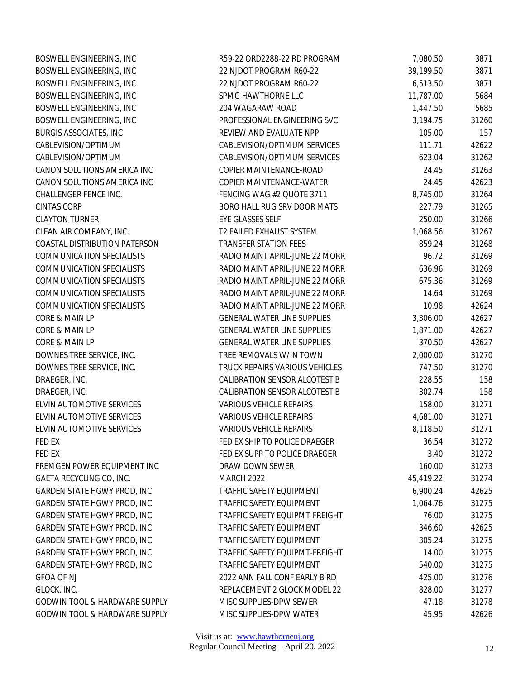| BOSWELL ENGINEERING, INC           | R59-22 ORD2288-22 RD PROGRAM       | 7,080.50  | 3871  |
|------------------------------------|------------------------------------|-----------|-------|
| BOSWELL ENGINEERING, INC           | 22 NJDOT PROGRAM R60-22            | 39,199.50 | 3871  |
| BOSWELL ENGINEERING, INC           | 22 NJDOT PROGRAM R60-22            | 6,513.50  | 3871  |
| BOSWELL ENGINEERING, INC           | SPMG HAWTHORNE LLC                 | 11,787.00 | 5684  |
| BOSWELL ENGINEERING, INC           | 204 WAGARAW ROAD                   | 1,447.50  | 5685  |
| BOSWELL ENGINEERING, INC           | PROFESSIONAL ENGINEERING SVC       | 3,194.75  | 31260 |
| <b>BURGIS ASSOCIATES, INC</b>      | REVIEW AND EVALUATE NPP            | 105.00    | 157   |
| CABLEVISION/OPTIMUM                | CABLEVISION/OPTIMUM SERVICES       | 111.71    | 42622 |
| CABLEVISION/OPTIMUM                | CABLEVISION/OPTIMUM SERVICES       | 623.04    | 31262 |
| CANON SOLUTIONS AMERICA INC        | COPIER MAINTENANCE-ROAD            | 24.45     | 31263 |
| CANON SOLUTIONS AMERICA INC        | COPIER MAINTENANCE-WATER           | 24.45     | 42623 |
| CHALLENGER FENCE INC.              | FENCING WAG #2 QUOTE 3711          | 8,745.00  | 31264 |
| <b>CINTAS CORP</b>                 | BORO HALL RUG SRV DOOR MATS        | 227.79    | 31265 |
| <b>CLAYTON TURNER</b>              | EYE GLASSES SELF                   | 250.00    | 31266 |
| CLEAN AIR COMPANY, INC.            | T2 FAILED EXHAUST SYSTEM           | 1,068.56  | 31267 |
| COASTAL DISTRIBUTION PATERSON      | <b>TRANSFER STATION FEES</b>       | 859.24    | 31268 |
| <b>COMMUNICATION SPECIALISTS</b>   | RADIO MAINT APRIL-JUNE 22 MORR     | 96.72     | 31269 |
| <b>COMMUNICATION SPECIALISTS</b>   | RADIO MAINT APRIL-JUNE 22 MORR     | 636.96    | 31269 |
| <b>COMMUNICATION SPECIALISTS</b>   | RADIO MAINT APRIL-JUNE 22 MORR     | 675.36    | 31269 |
| <b>COMMUNICATION SPECIALISTS</b>   | RADIO MAINT APRIL-JUNE 22 MORR     | 14.64     | 31269 |
| <b>COMMUNICATION SPECIALISTS</b>   | RADIO MAINT APRIL-JUNE 22 MORR     | 10.98     | 42624 |
| CORE & MAIN LP                     | <b>GENERAL WATER LINE SUPPLIES</b> | 3,306.00  | 42627 |
| CORE & MAIN LP                     | <b>GENERAL WATER LINE SUPPLIES</b> | 1,871.00  | 42627 |
| CORE & MAIN LP                     | <b>GENERAL WATER LINE SUPPLIES</b> | 370.50    | 42627 |
| DOWNES TREE SERVICE, INC.          | TREE REMOVALS W/IN TOWN            | 2,000.00  | 31270 |
| DOWNES TREE SERVICE, INC.          | TRUCK REPAIRS VARIOUS VEHICLES     | 747.50    | 31270 |
| DRAEGER, INC.                      | CALIBRATION SENSOR ALCOTEST B      | 228.55    | 158   |
| DRAEGER, INC.                      | CALIBRATION SENSOR ALCOTEST B      | 302.74    | 158   |
| ELVIN AUTOMOTIVE SERVICES          | <b>VARIOUS VEHICLE REPAIRS</b>     | 158.00    | 31271 |
| ELVIN AUTOMOTIVE SERVICES          | <b>VARIOUS VEHICLE REPAIRS</b>     | 4,681.00  | 31271 |
| ELVIN AUTOMOTIVE SERVICES          | <b>VARIOUS VEHICLE REPAIRS</b>     | 8,118.50  | 31271 |
| FED EX                             | FED EX SHIP TO POLICE DRAEGER      | 36.54     | 31272 |
| FED EX                             | FED EX SUPP TO POLICE DRAEGER      | 3.40      | 31272 |
| FREMGEN POWER EQUIPMENT INC        | DRAW DOWN SEWER                    | 160.00    | 31273 |
| GAETA RECYCLING CO, INC.           | <b>MARCH 2022</b>                  | 45,419.22 | 31274 |
| <b>GARDEN STATE HGWY PROD, INC</b> | TRAFFIC SAFETY EQUIPMENT           | 6,900.24  | 42625 |
| GARDEN STATE HGWY PROD, INC        | TRAFFIC SAFETY EQUIPMENT           | 1,064.76  | 31275 |
| <b>GARDEN STATE HGWY PROD, INC</b> | TRAFFIC SAFETY EQUIPMT-FREIGHT     | 76.00     | 31275 |
| GARDEN STATE HGWY PROD, INC        | <b>TRAFFIC SAFETY EQUIPMENT</b>    | 346.60    | 42625 |
| <b>GARDEN STATE HGWY PROD, INC</b> | TRAFFIC SAFETY EQUIPMENT           | 305.24    | 31275 |
| GARDEN STATE HGWY PROD, INC        | TRAFFIC SAFETY EQUIPMT-FREIGHT     | 14.00     | 31275 |
| GARDEN STATE HGWY PROD, INC        | TRAFFIC SAFETY EQUIPMENT           | 540.00    | 31275 |
| <b>GFOA OF NJ</b>                  | 2022 ANN FALL CONF EARLY BIRD      | 425.00    | 31276 |
| GLOCK, INC.                        | REPLACEMENT 2 GLOCK MODEL 22       | 828.00    | 31277 |
| GODWIN TOOL & HARDWARE SUPPLY      | MISC SUPPLIES-DPW SEWER            | 47.18     | 31278 |
| GODWIN TOOL & HARDWARE SUPPLY      | MISC SUPPLIES-DPW WATER            | 45.95     | 42626 |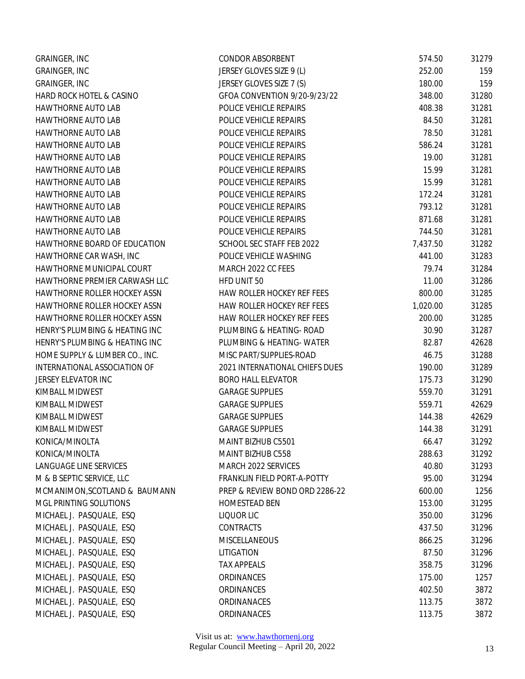| GRAINGER, INC                       | CONDOR ABSORBENT               | 574.50   | 31279 |
|-------------------------------------|--------------------------------|----------|-------|
| GRAINGER, INC                       | JERSEY GLOVES SIZE 9 (L)       | 252.00   | 159   |
| <b>GRAINGER, INC</b>                | JERSEY GLOVES SIZE 7 (S)       | 180.00   | 159   |
| HARD ROCK HOTEL & CASINO            | GFOA CONVENTION 9/20-9/23/22   | 348.00   | 31280 |
| HAWTHORNE AUTO LAB                  | POLICE VEHICLE REPAIRS         | 408.38   | 31281 |
| <b>HAWTHORNE AUTO LAB</b>           | POLICE VEHICLE REPAIRS         | 84.50    | 31281 |
| HAWTHORNE AUTO LAB                  | POLICE VEHICLE REPAIRS         | 78.50    | 31281 |
| <b>HAWTHORNE AUTO LAB</b>           | POLICE VEHICLE REPAIRS         | 586.24   | 31281 |
| <b>HAWTHORNE AUTO LAB</b>           | POLICE VEHICLE REPAIRS         | 19.00    | 31281 |
| <b>HAWTHORNE AUTO LAB</b>           | POLICE VEHICLE REPAIRS         | 15.99    | 31281 |
| <b>HAWTHORNE AUTO LAB</b>           | POLICE VEHICLE REPAIRS         | 15.99    | 31281 |
| HAWTHORNE AUTO LAB                  | POLICE VEHICLE REPAIRS         | 172.24   | 31281 |
| <b>HAWTHORNE AUTO LAB</b>           | POLICE VEHICLE REPAIRS         | 793.12   | 31281 |
| <b>HAWTHORNE AUTO LAB</b>           | POLICE VEHICLE REPAIRS         | 871.68   | 31281 |
| <b>HAWTHORNE AUTO LAB</b>           | POLICE VEHICLE REPAIRS         | 744.50   | 31281 |
| HAWTHORNE BOARD OF EDUCATION        | SCHOOL SEC STAFF FEB 2022      | 7,437.50 | 31282 |
| HAWTHORNE CAR WASH, INC             | POLICE VEHICLE WASHING         | 441.00   | 31283 |
| HAWTHORNE MUNICIPAL COURT           | MARCH 2022 CC FEES             | 79.74    | 31284 |
| HAWTHORNE PREMIER CARWASH LLC       | HFD UNIT 50                    | 11.00    | 31286 |
| HAWTHORNE ROLLER HOCKEY ASSN        | HAW ROLLER HOCKEY REF FEES     | 800.00   | 31285 |
| HAWTHORNE ROLLER HOCKEY ASSN        | HAW ROLLER HOCKEY REF FEES     | 1,020.00 | 31285 |
| <b>HAWTHORNE ROLLER HOCKEY ASSN</b> | HAW ROLLER HOCKEY REF FEES     | 200.00   | 31285 |
| HENRY'S PLUMBING & HEATING INC      | PLUMBING & HEATING- ROAD       | 30.90    | 31287 |
| HENRY'S PLUMBING & HEATING INC      | PLUMBING & HEATING- WATER      | 82.87    | 42628 |
| HOME SUPPLY & LUMBER CO., INC.      | MISC PART/SUPPLIES-ROAD        | 46.75    | 31288 |
| INTERNATIONAL ASSOCIATION OF        | 2021 INTERNATIONAL CHIEFS DUES | 190.00   | 31289 |
| JERSEY ELEVATOR INC                 | <b>BORO HALL ELEVATOR</b>      | 175.73   | 31290 |
| KIMBALL MIDWEST                     | <b>GARAGE SUPPLIES</b>         | 559.70   | 31291 |
| KIMBALL MIDWEST                     | <b>GARAGE SUPPLIES</b>         | 559.71   | 42629 |
| KIMBALL MIDWEST                     | <b>GARAGE SUPPLIES</b>         | 144.38   | 42629 |
| KIMBALL MIDWEST                     | <b>GARAGE SUPPLIES</b>         | 144.38   | 31291 |
| KONICA/MINOLTA                      | MAINT BIZHUB C5501             | 66.47    | 31292 |
| KONICA/MINOLTA                      | MAINT BIZHUB C558              | 288.63   | 31292 |
| LANGUAGE LINE SERVICES              | MARCH 2022 SERVICES            | 40.80    | 31293 |
| M & B SEPTIC SERVICE, LLC           | FRANKLIN FIELD PORT-A-POTTY    | 95.00    | 31294 |
| MCMANIMON, SCOTLAND & BAUMANN       | PREP & REVIEW BOND ORD 2286-22 | 600.00   | 1256  |
| MGL PRINTING SOLUTIONS              | HOMESTEAD BEN                  | 153.00   | 31295 |
| MICHAEL J. PASQUALE, ESQ            | LIQUOR LIC                     | 350.00   | 31296 |
| MICHAEL J. PASQUALE, ESQ            | <b>CONTRACTS</b>               | 437.50   | 31296 |
| MICHAEL J. PASQUALE, ESQ            | MISCELLANEOUS                  | 866.25   | 31296 |
| MICHAEL J. PASQUALE, ESQ            | LITIGATION                     | 87.50    | 31296 |
| MICHAEL J. PASQUALE, ESQ            | <b>TAX APPEALS</b>             | 358.75   | 31296 |
| MICHAEL J. PASQUALE, ESQ            | ORDINANCES                     | 175.00   | 1257  |
| MICHAEL J. PASQUALE, ESQ            | <b>ORDINANCES</b>              | 402.50   | 3872  |
| MICHAEL J. PASQUALE, ESQ            | ORDINANACES                    | 113.75   | 3872  |
| MICHAEL J. PASQUALE, ESQ            | ORDINANACES                    | 113.75   | 3872  |
|                                     |                                |          |       |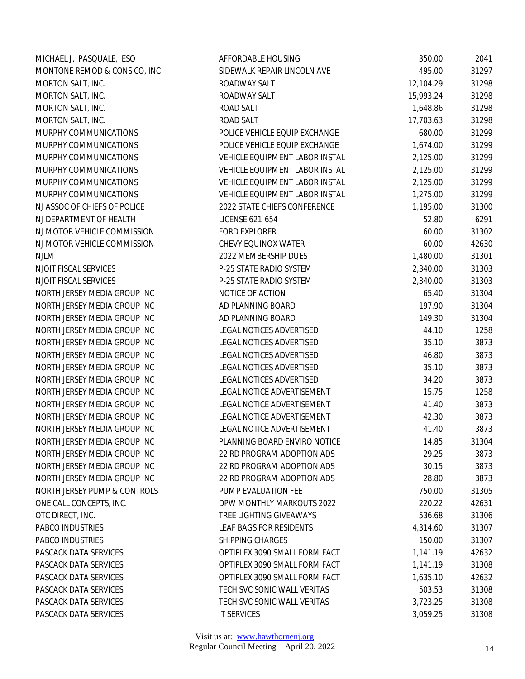| MICHAEL J. PASQUALE, ESQ     | AFFORDABLE HOUSING             | 350.00    | 2041  |
|------------------------------|--------------------------------|-----------|-------|
| MONTONE REMOD & CONS CO, INC | SIDEWALK REPAIR LINCOLN AVE    | 495.00    | 31297 |
| MORTON SALT, INC.            | ROADWAY SALT                   | 12,104.29 | 31298 |
| MORTON SALT, INC.            | ROADWAY SALT                   | 15,993.24 | 31298 |
| MORTON SALT, INC.            | ROAD SALT                      | 1,648.86  | 31298 |
| MORTON SALT, INC.            | ROAD SALT                      | 17,703.63 | 31298 |
| MURPHY COMMUNICATIONS        | POLICE VEHICLE EQUIP EXCHANGE  | 680.00    | 31299 |
| MURPHY COMMUNICATIONS        | POLICE VEHICLE EQUIP EXCHANGE  | 1,674.00  | 31299 |
| MURPHY COMMUNICATIONS        | VEHICLE EQUIPMENT LABOR INSTAL | 2,125.00  | 31299 |
| MURPHY COMMUNICATIONS        | VEHICLE EQUIPMENT LABOR INSTAL | 2,125.00  | 31299 |
| MURPHY COMMUNICATIONS        | VEHICLE EQUIPMENT LABOR INSTAL | 2,125.00  | 31299 |
| MURPHY COMMUNICATIONS        | VEHICLE EQUIPMENT LABOR INSTAL | 1,275.00  | 31299 |
| NJ ASSOC OF CHIEFS OF POLICE | 2022 STATE CHIEFS CONFERENCE   | 1,195.00  | 31300 |
| NJ DEPARTMENT OF HEALTH      | LICENSE 621-654                | 52.80     | 6291  |
| NJ MOTOR VEHICLE COMMISSION  | <b>FORD EXPLORER</b>           | 60.00     | 31302 |
| NJ MOTOR VEHICLE COMMISSION  | CHEVY EQUINOX WATER            | 60.00     | 42630 |
| <b>NJLM</b>                  | 2022 MEMBERSHIP DUES           | 1,480.00  | 31301 |
| NJOIT FISCAL SERVICES        | P-25 STATE RADIO SYSTEM        | 2,340.00  | 31303 |
| NJOIT FISCAL SERVICES        | P-25 STATE RADIO SYSTEM        | 2,340.00  | 31303 |
| NORTH JERSEY MEDIA GROUP INC | NOTICE OF ACTION               | 65.40     | 31304 |
| NORTH JERSEY MEDIA GROUP INC | AD PLANNING BOARD              | 197.90    | 31304 |
| NORTH JERSEY MEDIA GROUP INC | AD PLANNING BOARD              | 149.30    | 31304 |
| NORTH JERSEY MEDIA GROUP INC | LEGAL NOTICES ADVERTISED       | 44.10     | 1258  |
| NORTH JERSEY MEDIA GROUP INC | LEGAL NOTICES ADVERTISED       | 35.10     | 3873  |
| NORTH JERSEY MEDIA GROUP INC | LEGAL NOTICES ADVERTISED       | 46.80     | 3873  |
| NORTH JERSEY MEDIA GROUP INC | LEGAL NOTICES ADVERTISED       | 35.10     | 3873  |
| NORTH JERSEY MEDIA GROUP INC | LEGAL NOTICES ADVERTISED       | 34.20     | 3873  |
| NORTH JERSEY MEDIA GROUP INC | LEGAL NOTICE ADVERTISEMENT     | 15.75     | 1258  |
| NORTH JERSEY MEDIA GROUP INC | LEGAL NOTICE ADVERTISEMENT     | 41.40     | 3873  |
| NORTH JERSEY MEDIA GROUP INC | LEGAL NOTICE ADVERTISEMENT     | 42.30     | 3873  |
| NORTH JERSEY MEDIA GROUP INC | LEGAL NOTICE ADVERTISEMENT     | 41.40     | 3873  |
| NORTH JERSEY MEDIA GROUP INC | PLANNING BOARD ENVIRO NOTICE   | 14.85     | 31304 |
| NORTH JERSEY MEDIA GROUP INC | 22 RD PROGRAM ADOPTION ADS     | 29.25     | 3873  |
| NORTH JERSEY MEDIA GROUP INC | 22 RD PROGRAM ADOPTION ADS     | 30.15     | 3873  |
| NORTH JERSEY MEDIA GROUP INC | 22 RD PROGRAM ADOPTION ADS     | 28.80     | 3873  |
| NORTH JERSEY PUMP & CONTROLS | PUMP EVALUATION FEE            | 750.00    | 31305 |
| ONE CALL CONCEPTS, INC.      | DPW MONTHLY MARKOUTS 2022      | 220.22    | 42631 |
| OTC DIRECT, INC.             | TREE LIGHTING GIVEAWAYS        | 536.68    | 31306 |
| PABCO INDUSTRIES             | LEAF BAGS FOR RESIDENTS        | 4,314.60  | 31307 |
| PABCO INDUSTRIES             | SHIPPING CHARGES               | 150.00    | 31307 |
| PASCACK DATA SERVICES        | OPTIPLEX 3090 SMALL FORM FACT  | 1,141.19  | 42632 |
| PASCACK DATA SERVICES        | OPTIPLEX 3090 SMALL FORM FACT  | 1,141.19  | 31308 |
| PASCACK DATA SERVICES        | OPTIPLEX 3090 SMALL FORM FACT  | 1,635.10  | 42632 |
| PASCACK DATA SERVICES        | TECH SVC SONIC WALL VERITAS    | 503.53    | 31308 |
| PASCACK DATA SERVICES        | TECH SVC SONIC WALL VERITAS    | 3,723.25  | 31308 |
| PASCACK DATA SERVICES        | IT SERVICES                    | 3,059.25  | 31308 |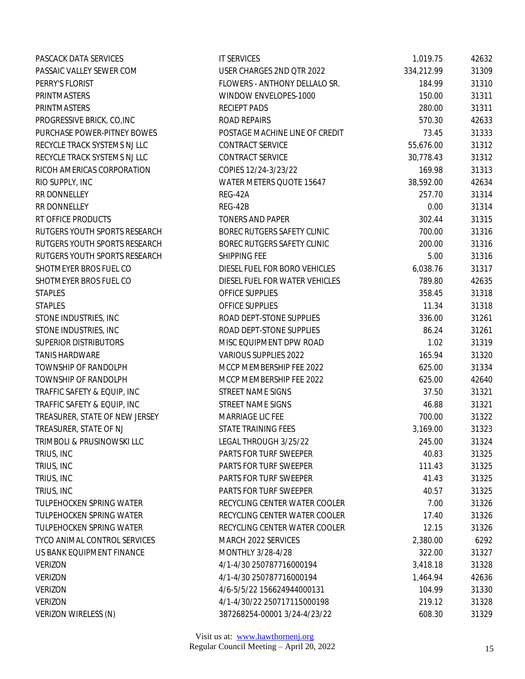| PASCACK DATA SERVICES           | <b>IT SERVICES</b>             | 1,019.75   | 42632 |
|---------------------------------|--------------------------------|------------|-------|
| PASSAIC VALLEY SEWER COM        | USER CHARGES 2ND QTR 2022      | 334,212.99 | 31309 |
| PERRY'S FLORIST                 | FLOWERS - ANTHONY DELLALO SR.  | 184.99     | 31310 |
| PRINTMASTERS                    | WINDOW ENVELOPES-1000          | 150.00     | 31311 |
| PRINTMASTERS                    | <b>RECIEPT PADS</b>            | 280.00     | 31311 |
| PROGRESSIVE BRICK, CO, INC      | ROAD REPAIRS                   | 570.30     | 42633 |
| PURCHASE POWER-PITNEY BOWES     | POSTAGE MACHINE LINE OF CREDIT | 73.45      | 31333 |
| RECYCLE TRACK SYSTEMS NJ LLC    | CONTRACT SERVICE               | 55,676.00  | 31312 |
| RECYCLE TRACK SYSTEMS NJ LLC    | CONTRACT SERVICE               | 30,778.43  | 31312 |
| RICOH AMERICAS CORPORATION      | COPIES 12/24-3/23/22           | 169.98     | 31313 |
| RIO SUPPLY, INC                 | WATER METERS QUOTE 15647       | 38,592.00  | 42634 |
| RR DONNELLEY                    | REG-42A                        | 257.70     | 31314 |
| RR DONNELLEY                    | REG-42B                        | 0.00       | 31314 |
| RT OFFICE PRODUCTS              | <b>TONERS AND PAPER</b>        | 302.44     | 31315 |
| RUTGERS YOUTH SPORTS RESEARCH   | BOREC RUTGERS SAFETY CLINIC    | 700.00     | 31316 |
| RUTGERS YOUTH SPORTS RESEARCH   | BOREC RUTGERS SAFETY CLINIC    | 200.00     | 31316 |
| RUTGERS YOUTH SPORTS RESEARCH   | SHIPPING FEE                   | 5.00       | 31316 |
| SHOTMEYER BROS FUEL CO          | DIESEL FUEL FOR BORO VEHICLES  | 6,038.76   | 31317 |
| SHOTMEYER BROS FUEL CO          | DIESEL FUEL FOR WATER VEHICLES | 789.80     | 42635 |
| <b>STAPLES</b>                  | OFFICE SUPPLIES                | 358.45     | 31318 |
| <b>STAPLES</b>                  | OFFICE SUPPLIES                | 11.34      | 31318 |
| STONE INDUSTRIES, INC           | ROAD DEPT-STONE SUPPLIES       | 336.00     | 31261 |
| STONE INDUSTRIES, INC           | ROAD DEPT-STONE SUPPLIES       | 86.24      | 31261 |
| <b>SUPERIOR DISTRIBUTORS</b>    | MISC EQUIPMENT DPW ROAD        | 1.02       | 31319 |
| <b>TANIS HARDWARE</b>           | VARIOUS SUPPLIES 2022          | 165.94     | 31320 |
| TOWNSHIP OF RANDOLPH            | MCCP MEMBERSHIP FEE 2022       | 625.00     | 31334 |
| TOWNSHIP OF RANDOLPH            | MCCP MEMBERSHIP FEE 2022       | 625.00     | 42640 |
| TRAFFIC SAFETY & EQUIP, INC     | STREET NAME SIGNS              | 37.50      | 31321 |
| TRAFFIC SAFETY & EQUIP, INC     | STREET NAME SIGNS              | 46.88      | 31321 |
| TREASURER, STATE OF NEW JERSEY  | MARRIAGE LIC FEE               | 700.00     | 31322 |
| TREASURER, STATE OF NJ          | STATE TRAINING FEES            | 3,169.00   | 31323 |
| TRIMBOLI & PRUSINOWSKI LLC      | LEGAL THROUGH 3/25/22          | 245.00     | 31324 |
| TRIUS, INC                      | PARTS FOR TURF SWEEPER         | 40.83      | 31325 |
| TRIUS, INC                      | <b>PARTS FOR TURF SWEEPER</b>  | 111.43     | 31325 |
| TRIUS, INC                      | PARTS FOR TURF SWEEPER         | 41.43      | 31325 |
| TRIUS, INC                      | PARTS FOR TURF SWEEPER         | 40.57      | 31325 |
| TULPEHOCKEN SPRING WATER        | RECYCLING CENTER WATER COOLER  | 7.00       | 31326 |
| TULPEHOCKEN SPRING WATER        | RECYCLING CENTER WATER COOLER  | 17.40      | 31326 |
| <b>TULPEHOCKEN SPRING WATER</b> | RECYCLING CENTER WATER COOLER  | 12.15      | 31326 |
| TYCO ANIMAL CONTROL SERVICES    | MARCH 2022 SERVICES            | 2,380.00   | 6292  |
| US BANK EQUIPMENT FINANCE       | MONTHLY 3/28-4/28              | 322.00     | 31327 |
| <b>VERIZON</b>                  | 4/1-4/30 250787716000194       | 3,418.18   | 31328 |
| <b>VERIZON</b>                  | 4/1-4/30 250787716000194       | 1,464.94   | 42636 |
| <b>VERIZON</b>                  | 4/6-5/5/22 156624944000131     | 104.99     | 31330 |
| <b>VERIZON</b>                  | 4/1-4/30/22 250717115000198    | 219.12     | 31328 |
| VERIZON WIRELESS (N)            | 387268254-00001 3/24-4/23/22   | 608.30     | 31329 |